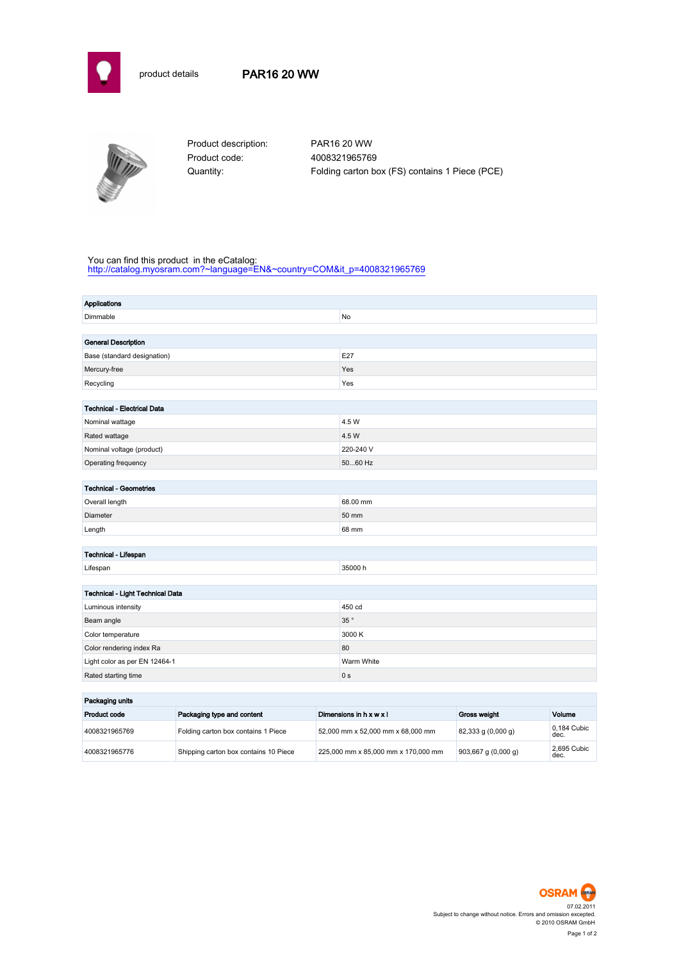

## product details PAR16 20 WW



Product code: 4008321965769

Product description: PAR16 20 WW Quantity: Folding carton box (FS) contains 1 Piece (PCE)

#### You can find this product in the eCatalog:

[http://catalog.myosram.com?~language=EN&~country=COM&it\\_p=4008321965769](http://catalog.myosram.com?~language=EN&~country=COM&it_p=4008321965769)

| Applications                       |                |  |  |
|------------------------------------|----------------|--|--|
| Dimmable                           | No             |  |  |
|                                    |                |  |  |
| <b>General Description</b>         |                |  |  |
| Base (standard designation)        | E27            |  |  |
| Mercury-free                       | Yes            |  |  |
| Recycling                          | Yes            |  |  |
|                                    |                |  |  |
| <b>Technical - Electrical Data</b> |                |  |  |
| Nominal wattage                    | 4.5 W          |  |  |
| Rated wattage                      | 4.5 W          |  |  |
| Nominal voltage (product)          | 220-240 V      |  |  |
| Operating frequency                | 5060 Hz        |  |  |
|                                    |                |  |  |
| <b>Technical - Geometries</b>      |                |  |  |
| Overall length                     | 68.00 mm       |  |  |
| Diameter                           | 50 mm          |  |  |
| Length                             | 68 mm          |  |  |
|                                    |                |  |  |
| Technical - Lifespan               |                |  |  |
| Lifespan                           | 35000 h        |  |  |
|                                    |                |  |  |
| Technical - Light Technical Data   |                |  |  |
| Luminous intensity                 | 450 cd         |  |  |
| Beam angle                         | 35 $^{\circ}$  |  |  |
| Color temperature                  | 3000 K         |  |  |
| Color rendering index Ra           | 80             |  |  |
| Light color as per EN 12464-1      | Warm White     |  |  |
| Rated starting time                | 0 <sub>s</sub> |  |  |
|                                    |                |  |  |
| Packaging units                    |                |  |  |

| rackaging units |                                       |                                     |                         |                     |
|-----------------|---------------------------------------|-------------------------------------|-------------------------|---------------------|
| Product code    | Packaging type and content            | Dimensions in h x w x l             | Gross weight            | Volume              |
| 4008321965769   | Folding carton box contains 1 Piece   | 52.000 mm x 52.000 mm x 68.000 mm   | $82,333$ g $(0,000$ g)  | 0.184 Cubic<br>dec. |
| 4008321965776   | Shipping carton box contains 10 Piece | 225,000 mm x 85,000 mm x 170,000 mm | $903,667$ g $(0,000$ g) | 2.695 Cubic<br>dec. |